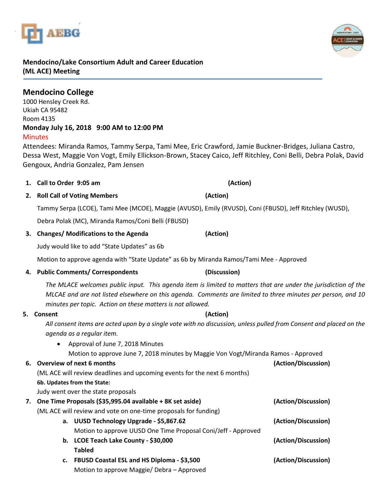# **Mendocino/Lake Consortium Adult and Career Education (ML ACE) Meeting**

INNE

**Mendocino College**  1000 Hensley Creek Rd. Ukiah CA 95482 Room 4135 **Monday July 16, 2018 9:00 AM to 12:00 PM Minutes** 

Attendees: Miranda Ramos, Tammy Serpa, Tami Mee, Eric Crawford, Jamie Buckner-Bridges, Juliana Castro, Dessa West, Maggie Von Vogt, Emily Ellickson-Brown, Stacey Caico, Jeff Ritchley, Coni Belli, Debra Polak, David Gengoux, Andria Gonzalez, Pam Jensen

**2. Roll Call of Voting Members (Action)**

**1. Call to Order 9:05 am (Action)**

Tammy Serpa (LCOE), Tami Mee (MCOE), Maggie (AVUSD), Emily (RVUSD), Coni (FBUSD), Jeff Ritchley (WUSD),

Debra Polak (MC), Miranda Ramos/Coni Belli (FBUSD)

# **3. Changes/ Modifications to the Agenda (Action)**

Judy would like to add "State Updates" as 6b

Motion to approve agenda with "State Update" as 6b by Miranda Ramos/Tami Mee - Approved

# **4. Public Comments/ Correspondents (Discussion)**

*The MLACE welcomes public input. This agenda item is limited to matters that are under the jurisdiction of the MLCAE and are not listed elsewhere on this agenda. Comments are limited to three minutes per person, and 10 minutes per topic. Action on these matters is not allowed.*

**5. Consent (Action)**

*All consent items are acted upon by a single vote with no discussion, unless pulled from Consent and placed on the agenda as a regular item.* 

• Approval of June 7, 2018 Minutes

Motion to approve June 7, 2018 minutes by Maggie Von Vogt/Miranda Ramos - Approved

# **6. Overview of next 6 months (Action/Discussion)**

(ML ACE will review deadlines and upcoming events for the next 6 months)

**6b. Updates from the State:**

Judy went over the state proposals

|  | 7. One Time Proposals (\$35,995.04 available + 8K set aside)<br>(ML ACE will review and vote on one-time proposals for funding) |                                                               | (Action/Discussion) |
|--|---------------------------------------------------------------------------------------------------------------------------------|---------------------------------------------------------------|---------------------|
|  |                                                                                                                                 |                                                               |                     |
|  |                                                                                                                                 | a. UUSD Technology Upgrade - \$5,867.62                       | (Action/Discussion) |
|  |                                                                                                                                 | Motion to approve UUSD One Time Proposal Coni/Jeff - Approved |                     |
|  |                                                                                                                                 | b. LCOE Teach Lake County - \$30,000                          | (Action/Discussion) |
|  |                                                                                                                                 | <b>Tabled</b>                                                 |                     |
|  |                                                                                                                                 | c. FBUSD Coastal ESL and HS Diploma - \$3,500                 | (Action/Discussion) |
|  |                                                                                                                                 | Motion to approve Maggie/ Debra - Approved                    |                     |